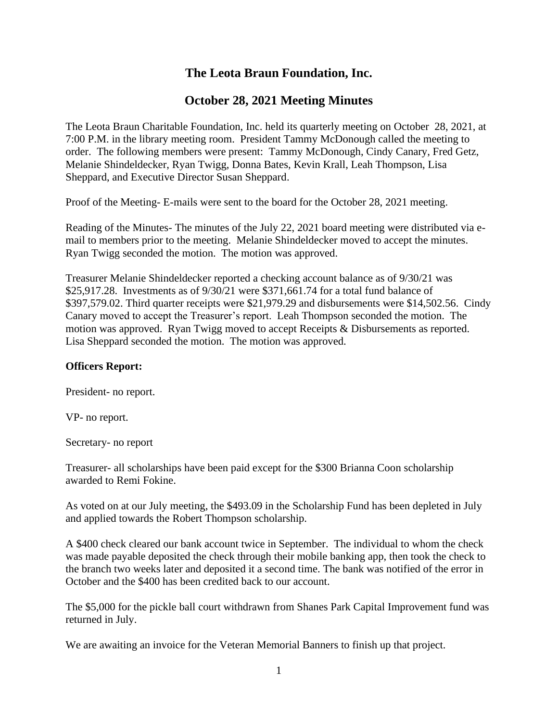# **The Leota Braun Foundation, Inc.**

## **October 28, 2021 Meeting Minutes**

The Leota Braun Charitable Foundation, Inc. held its quarterly meeting on October 28, 2021, at 7:00 P.M. in the library meeting room. President Tammy McDonough called the meeting to order. The following members were present: Tammy McDonough, Cindy Canary, Fred Getz, Melanie Shindeldecker, Ryan Twigg, Donna Bates, Kevin Krall, Leah Thompson, Lisa Sheppard, and Executive Director Susan Sheppard.

Proof of the Meeting- E-mails were sent to the board for the October 28, 2021 meeting.

Reading of the Minutes- The minutes of the July 22, 2021 board meeting were distributed via email to members prior to the meeting. Melanie Shindeldecker moved to accept the minutes. Ryan Twigg seconded the motion. The motion was approved.

Treasurer Melanie Shindeldecker reported a checking account balance as of 9/30/21 was \$25,917.28. Investments as of 9/30/21 were \$371,661.74 for a total fund balance of \$397,579.02. Third quarter receipts were \$21,979.29 and disbursements were \$14,502.56. Cindy Canary moved to accept the Treasurer's report. Leah Thompson seconded the motion. The motion was approved. Ryan Twigg moved to accept Receipts & Disbursements as reported. Lisa Sheppard seconded the motion. The motion was approved.

### **Officers Report:**

President- no report.

VP- no report.

Secretary- no report

Treasurer- all scholarships have been paid except for the \$300 Brianna Coon scholarship awarded to Remi Fokine.

As voted on at our July meeting, the \$493.09 in the Scholarship Fund has been depleted in July and applied towards the Robert Thompson scholarship.

A \$400 check cleared our bank account twice in September. The individual to whom the check was made payable deposited the check through their mobile banking app, then took the check to the branch two weeks later and deposited it a second time. The bank was notified of the error in October and the \$400 has been credited back to our account.

The \$5,000 for the pickle ball court withdrawn from Shanes Park Capital Improvement fund was returned in July.

We are awaiting an invoice for the Veteran Memorial Banners to finish up that project.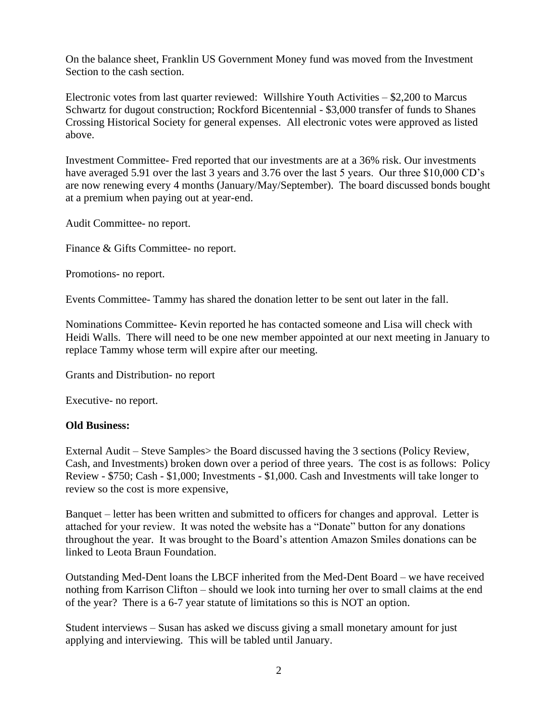On the balance sheet, Franklin US Government Money fund was moved from the Investment Section to the cash section.

Electronic votes from last quarter reviewed: Willshire Youth Activities – \$2,200 to Marcus Schwartz for dugout construction; Rockford Bicentennial - \$3,000 transfer of funds to Shanes Crossing Historical Society for general expenses. All electronic votes were approved as listed above.

Investment Committee- Fred reported that our investments are at a 36% risk. Our investments have averaged 5.91 over the last 3 years and 3.76 over the last 5 years. Our three \$10,000 CD's are now renewing every 4 months (January/May/September). The board discussed bonds bought at a premium when paying out at year-end.

Audit Committee- no report.

Finance & Gifts Committee- no report.

Promotions- no report.

Events Committee- Tammy has shared the donation letter to be sent out later in the fall.

Nominations Committee- Kevin reported he has contacted someone and Lisa will check with Heidi Walls. There will need to be one new member appointed at our next meeting in January to replace Tammy whose term will expire after our meeting.

Grants and Distribution- no report

Executive- no report.

### **Old Business:**

External Audit – Steve Samples> the Board discussed having the 3 sections (Policy Review, Cash, and Investments) broken down over a period of three years. The cost is as follows: Policy Review - \$750; Cash - \$1,000; Investments - \$1,000. Cash and Investments will take longer to review so the cost is more expensive,

Banquet – letter has been written and submitted to officers for changes and approval. Letter is attached for your review. It was noted the website has a "Donate" button for any donations throughout the year. It was brought to the Board's attention Amazon Smiles donations can be linked to Leota Braun Foundation.

Outstanding Med-Dent loans the LBCF inherited from the Med-Dent Board – we have received nothing from Karrison Clifton – should we look into turning her over to small claims at the end of the year? There is a 6-7 year statute of limitations so this is NOT an option.

Student interviews – Susan has asked we discuss giving a small monetary amount for just applying and interviewing. This will be tabled until January.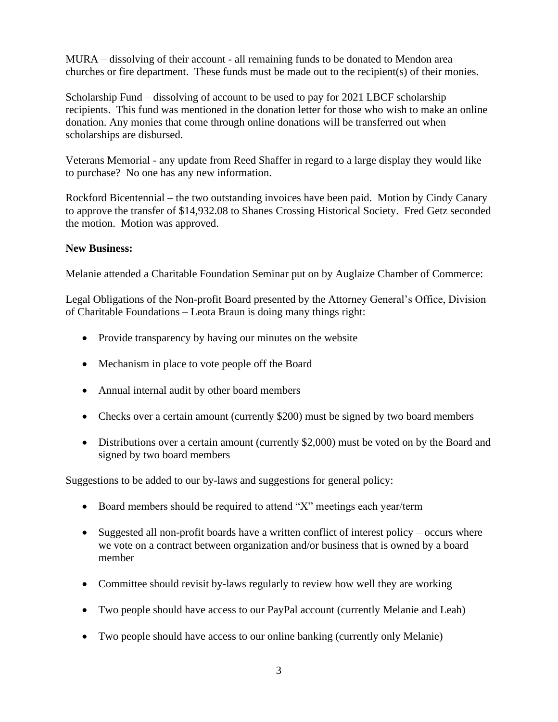MURA – dissolving of their account - all remaining funds to be donated to Mendon area churches or fire department. These funds must be made out to the recipient(s) of their monies.

Scholarship Fund – dissolving of account to be used to pay for 2021 LBCF scholarship recipients. This fund was mentioned in the donation letter for those who wish to make an online donation. Any monies that come through online donations will be transferred out when scholarships are disbursed.

Veterans Memorial - any update from Reed Shaffer in regard to a large display they would like to purchase? No one has any new information.

Rockford Bicentennial – the two outstanding invoices have been paid. Motion by Cindy Canary to approve the transfer of \$14,932.08 to Shanes Crossing Historical Society. Fred Getz seconded the motion. Motion was approved.

### **New Business:**

Melanie attended a Charitable Foundation Seminar put on by Auglaize Chamber of Commerce:

Legal Obligations of the Non-profit Board presented by the Attorney General's Office, Division of Charitable Foundations – Leota Braun is doing many things right:

- Provide transparency by having our minutes on the website
- Mechanism in place to vote people off the Board
- Annual internal audit by other board members
- Checks over a certain amount (currently \$200) must be signed by two board members
- Distributions over a certain amount (currently \$2,000) must be voted on by the Board and signed by two board members

Suggestions to be added to our by-laws and suggestions for general policy:

- Board members should be required to attend "X" meetings each year/term
- Suggested all non-profit boards have a written conflict of interest policy occurs where we vote on a contract between organization and/or business that is owned by a board member
- Committee should revisit by-laws regularly to review how well they are working
- Two people should have access to our PayPal account (currently Melanie and Leah)
- Two people should have access to our online banking (currently only Melanie)